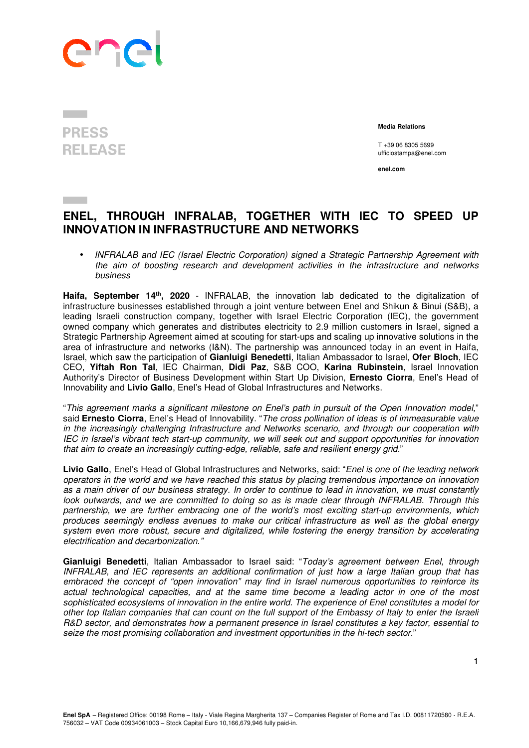

**PRESS RELEASE** 

 **Media Relations** 

T +39 06 8305 5699 ufficiostampa@enel.com

**enel.com**

## **ENEL, THROUGH INFRALAB, TOGETHER WITH IEC TO SPEED UP INNOVATION IN INFRASTRUCTURE AND NETWORKS**

• INFRALAB and IEC (Israel Electric Corporation) signed a Strategic Partnership Agreement with the aim of boosting research and development activities in the infrastructure and networks business

**Haifa, September 14th, 2020** - INFRALAB, the innovation lab dedicated to the digitalization of infrastructure businesses established through a joint venture between Enel and Shikun & Binui (S&B), a leading Israeli construction company, together with Israel Electric Corporation (IEC), the government owned company which generates and distributes electricity to 2.9 million customers in Israel, signed a Strategic Partnership Agreement aimed at scouting for start-ups and scaling up innovative solutions in the area of infrastructure and networks (I&N). The partnership was announced today in an event in Haifa, Israel, which saw the participation of **Gianluigi Benedetti**, Italian Ambassador to Israel, **Ofer Bloch**, IEC CEO, **Yiftah Ron Tal**, IEC Chairman, **Didi Paz**, S&B COO, **Karina Rubinstein**, Israel Innovation Authority's Director of Business Development within Start Up Division, **Ernesto Ciorra**, Enel's Head of Innovability and **Livio Gallo**, Enel's Head of Global Infrastructures and Networks.

"This agreement marks a significant milestone on Enel's path in pursuit of the Open Innovation model," said **Ernesto Ciorra**, Enel's Head of Innovability. "The cross pollination of ideas is of immeasurable value in the increasingly challenging Infrastructure and Networks scenario, and through our cooperation with IEC in Israel's vibrant tech start-up community, we will seek out and support opportunities for innovation that aim to create an increasingly cutting-edge, reliable, safe and resilient energy grid."

**Livio Gallo**, Enel's Head of Global Infrastructures and Networks, said: "Enel is one of the leading network operators in the world and we have reached this status by placing tremendous importance on innovation as a main driver of our business strategy. In order to continue to lead in innovation, we must constantly look outwards, and we are committed to doing so as is made clear through INFRALAB. Through this partnership, we are further embracing one of the world's most exciting start-up environments, which produces seemingly endless avenues to make our critical infrastructure as well as the global energy system even more robust, secure and digitalized, while fostering the energy transition by accelerating electrification and decarbonization."

**Gianluigi Benedetti**, Italian Ambassador to Israel said: "Today's agreement between Enel, through INFRALAB, and IEC represents an additional confirmation of just how a large Italian group that has embraced the concept of "open innovation" may find in Israel numerous opportunities to reinforce its actual technological capacities, and at the same time become a leading actor in one of the most sophisticated ecosystems of innovation in the entire world. The experience of Enel constitutes a model for other top Italian companies that can count on the full support of the Embassy of Italy to enter the Israeli R&D sector, and demonstrates how a permanent presence in Israel constitutes a key factor, essential to seize the most promising collaboration and investment opportunities in the hi-tech sector."